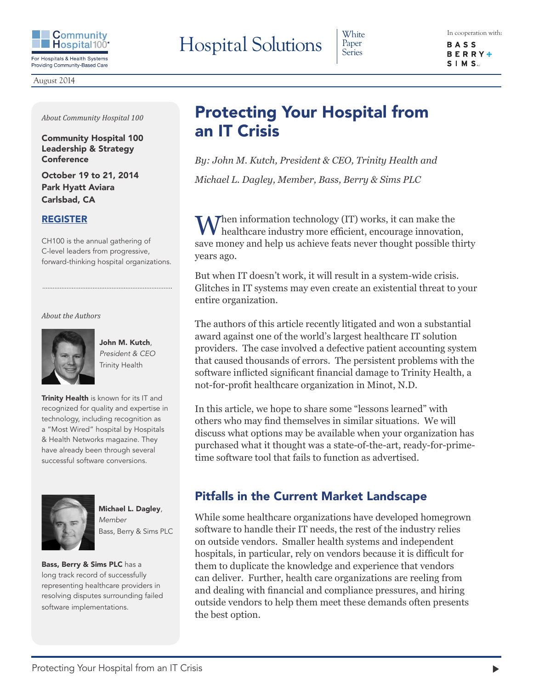

Paper Series

**BASS BERRY**  $\triangleq$  $S$  | M  $S$ ...

August 2014

*About Community Hospital 100* 

Community Hospital 100 Leadership & Strategy Conference

October 19 to 21, 2014 Park Hyatt Aviara Carlsbad, CA

### [REGISTER](http://www.communityhospital100.com/communityhospital100/register.php)

CH100 is the annual gathering of C-level leaders from progressive, forward-thinking hospital organizations.

#### *About the Authors*



John M. Kutch, *President & CEO* Trinity Health

Trinity Health is known for its IT and recognized for quality and expertise in technology, including recognition as a "Most Wired" hospital by Hospitals & Health Networks magazine. They have already been through several successful software conversions.



Michael L. Dagley, *Member* Bass, Berry & Sims PLC

Bass, Berry & Sims PLC has a long track record of successfully representing healthcare providers in resolving disputes surrounding failed software implementations.

# Protecting Your Hospital from an IT Crisis

*By: John M. Kutch, President & CEO, Trinity Health and Michael L. Dagley, Member, Bass, Berry & Sims PLC*

 $M$ hen information technology (IT) works, it can make the healthcare industry more efficient, encourage innovation, save money and help us achieve feats never thought possible thirty years ago.

But when IT doesn't work, it will result in a system-wide crisis. Glitches in IT systems may even create an existential threat to your entire organization.

The authors of this article recently litigated and won a substantial award against one of the world's largest healthcare IT solution providers. The case involved a defective patient accounting system that caused thousands of errors. The persistent problems with the software inflicted significant financial damage to Trinity Health, a not-for-profit healthcare organization in Minot, N.D.

In this article, we hope to share some "lessons learned" with others who may find themselves in similar situations. We will discuss what options may be available when your organization has purchased what it thought was a state-of-the-art, ready-for-primetime software tool that fails to function as advertised.

## Pitfalls in the Current Market Landscape

While some healthcare organizations have developed homegrown software to handle their IT needs, the rest of the industry relies on outside vendors. Smaller health systems and independent hospitals, in particular, rely on vendors because it is difficult for them to duplicate the knowledge and experience that vendors can deliver. Further, health care organizations are reeling from and dealing with financial and compliance pressures, and hiring outside vendors to help them meet these demands often presents the best option.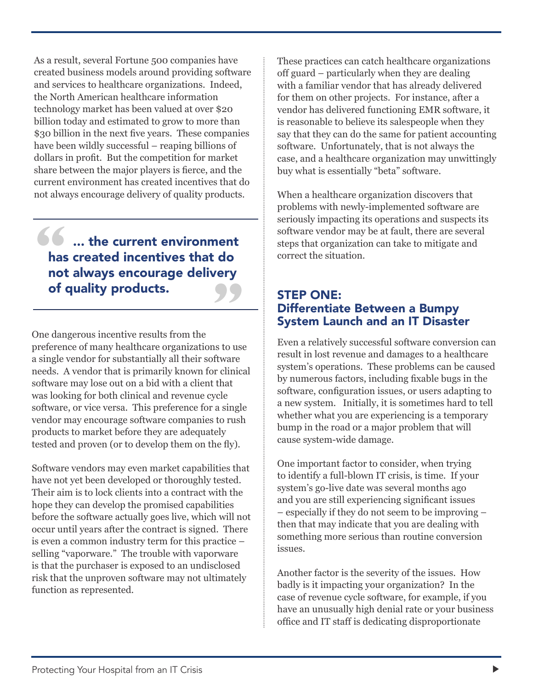As a result, several Fortune 500 companies have created business models around providing software and services to healthcare organizations. Indeed, the North American healthcare information technology market has been valued at over \$20 billion today and estimated to grow to more than \$30 billion in the next five years. These companies have been wildly successful – reaping billions of dollars in profit. But the competition for market share between the major players is fierce, and the current environment has created incentives that do not always encourage delivery of quality products.

# **66** ... the current environment has created incentives that do not always encourage delivery of quality products. **"**

One dangerous incentive results from the preference of many healthcare organizations to use a single vendor for substantially all their software needs. A vendor that is primarily known for clinical software may lose out on a bid with a client that was looking for both clinical and revenue cycle software, or vice versa. This preference for a single vendor may encourage software companies to rush products to market before they are adequately tested and proven (or to develop them on the fly).

Software vendors may even market capabilities that have not yet been developed or thoroughly tested. Their aim is to lock clients into a contract with the hope they can develop the promised capabilities before the software actually goes live, which will not occur until years after the contract is signed. There is even a common industry term for this practice – selling "vaporware." The trouble with vaporware is that the purchaser is exposed to an undisclosed risk that the unproven software may not ultimately function as represented.

These practices can catch healthcare organizations off guard – particularly when they are dealing with a familiar vendor that has already delivered for them on other projects. For instance, after a vendor has delivered functioning EMR software, it is reasonable to believe its salespeople when they say that they can do the same for patient accounting software. Unfortunately, that is not always the case, and a healthcare organization may unwittingly buy what is essentially "beta" software.

When a healthcare organization discovers that problems with newly-implemented software are seriously impacting its operations and suspects its software vendor may be at fault, there are several steps that organization can take to mitigate and correct the situation.

### STEP ONE: Differentiate Between a Bumpy System Launch and an IT Disaster

Even a relatively successful software conversion can result in lost revenue and damages to a healthcare system's operations. These problems can be caused by numerous factors, including fixable bugs in the software, configuration issues, or users adapting to a new system. Initially, it is sometimes hard to tell whether what you are experiencing is a temporary bump in the road or a major problem that will cause system-wide damage.

One important factor to consider, when trying to identify a full-blown IT crisis, is time. If your system's go-live date was several months ago and you are still experiencing significant issues – especially if they do not seem to be improving – then that may indicate that you are dealing with something more serious than routine conversion issues.

Another factor is the severity of the issues. How badly is it impacting your organization? In the case of revenue cycle software, for example, if you have an unusually high denial rate or your business office and IT staff is dedicating disproportionate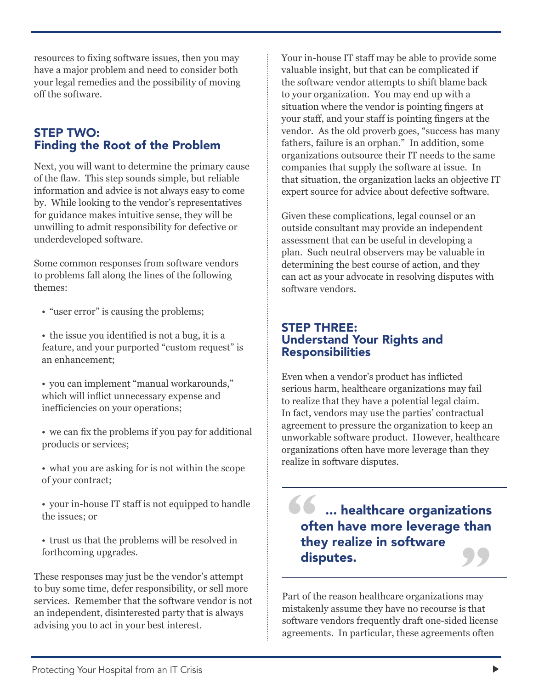resources to fixing software issues, then you may have a major problem and need to consider both your legal remedies and the possibility of moving off the software.

## STEP TWO: Finding the Root of the Problem

Next, you will want to determine the primary cause of the flaw. This step sounds simple, but reliable information and advice is not always easy to come by. While looking to the vendor's representatives for guidance makes intuitive sense, they will be unwilling to admit responsibility for defective or underdeveloped software.

Some common responses from software vendors to problems fall along the lines of the following themes:

• "user error" is causing the problems;

• the issue you identified is not a bug, it is a feature, and your purported "custom request" is an enhancement;

• you can implement "manual workarounds," which will inflict unnecessary expense and inefficiencies on your operations;

• we can fix the problems if you pay for additional products or services;

- what you are asking for is not within the scope of your contract;
- your in-house IT staff is not equipped to handle the issues; or
- trust us that the problems will be resolved in forthcoming upgrades.

These responses may just be the vendor's attempt to buy some time, defer responsibility, or sell more services. Remember that the software vendor is not an independent, disinterested party that is always advising you to act in your best interest.

Your in-house IT staff may be able to provide some valuable insight, but that can be complicated if the software vendor attempts to shift blame back to your organization. You may end up with a situation where the vendor is pointing fingers at your staff, and your staff is pointing fingers at the vendor. As the old proverb goes, "success has many fathers, failure is an orphan." In addition, some organizations outsource their IT needs to the same companies that supply the software at issue. In that situation, the organization lacks an objective IT expert source for advice about defective software.

Given these complications, legal counsel or an outside consultant may provide an independent assessment that can be useful in developing a plan. Such neutral observers may be valuable in determining the best course of action, and they can act as your advocate in resolving disputes with software vendors.

### STEP THREE: Understand Your Rights and Responsibilities

Even when a vendor's product has inflicted serious harm, healthcare organizations may fail to realize that they have a potential legal claim. In fact, vendors may use the parties' contractual agreement to pressure the organization to keep an unworkable software product. However, healthcare organizations often have more leverage than they realize in software disputes.

**66** ... healthcare organizations often have more leverage than they realize in software **disputes.**<br>
Part of the reason healthcare organizations may<br>
mistake by secure that have no recourse is that

mistakenly assume they have no recourse is that software vendors frequently draft one-sided license agreements. In particular, these agreements often